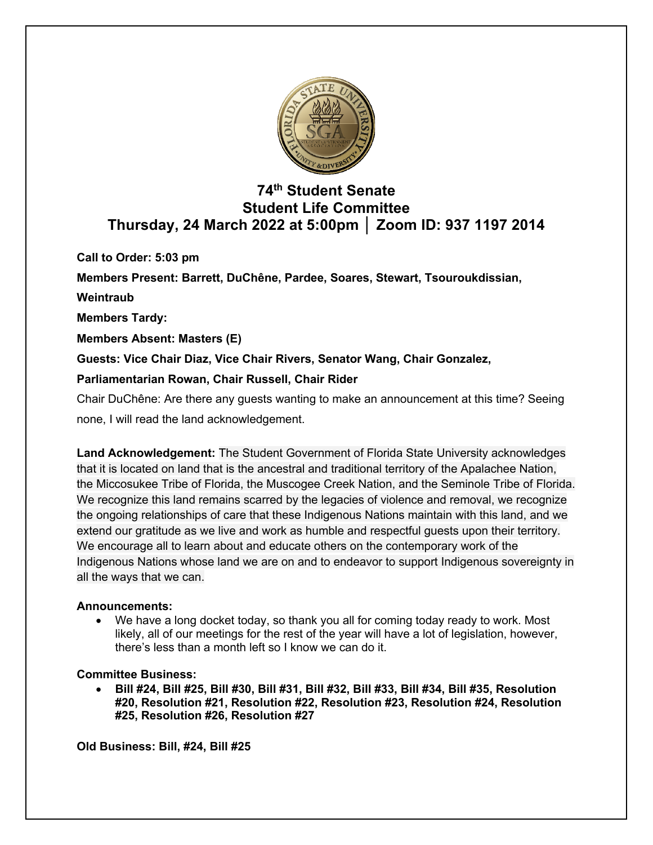

# **74th Student Senate Student Life Committee Thursday, 24 March 2022 at 5:00pm │ Zoom ID: 937 1197 2014**

**Call to Order: 5:03 pm** 

**Members Present: Barrett, DuChêne, Pardee, Soares, Stewart, Tsouroukdissian,** 

# **Weintraub**

**Members Tardy:**

**Members Absent: Masters (E)**

**Guests: Vice Chair Diaz, Vice Chair Rivers, Senator Wang, Chair Gonzalez,** 

# **Parliamentarian Rowan, Chair Russell, Chair Rider**

Chair DuChêne: Are there any guests wanting to make an announcement at this time? Seeing none, I will read the land acknowledgement.

**Land Acknowledgement:** The Student Government of Florida State University acknowledges that it is located on land that is the ancestral and traditional territory of the Apalachee Nation, the Miccosukee Tribe of Florida, the Muscogee Creek Nation, and the Seminole Tribe of Florida. We recognize this land remains scarred by the legacies of violence and removal, we recognize the ongoing relationships of care that these Indigenous Nations maintain with this land, and we extend our gratitude as we live and work as humble and respectful guests upon their territory. We encourage all to learn about and educate others on the contemporary work of the Indigenous Nations whose land we are on and to endeavor to support Indigenous sovereignty in all the ways that we can.

# **Announcements:**

• We have a long docket today, so thank you all for coming today ready to work. Most likely, all of our meetings for the rest of the year will have a lot of legislation, however, there's less than a month left so I know we can do it.

# **Committee Business:**

• **Bill #24, Bill #25, Bill #30, Bill #31, Bill #32, Bill #33, Bill #34, Bill #35, Resolution #20, Resolution #21, Resolution #22, Resolution #23, Resolution #24, Resolution #25, Resolution #26, Resolution #27**

**Old Business: Bill, #24, Bill #25**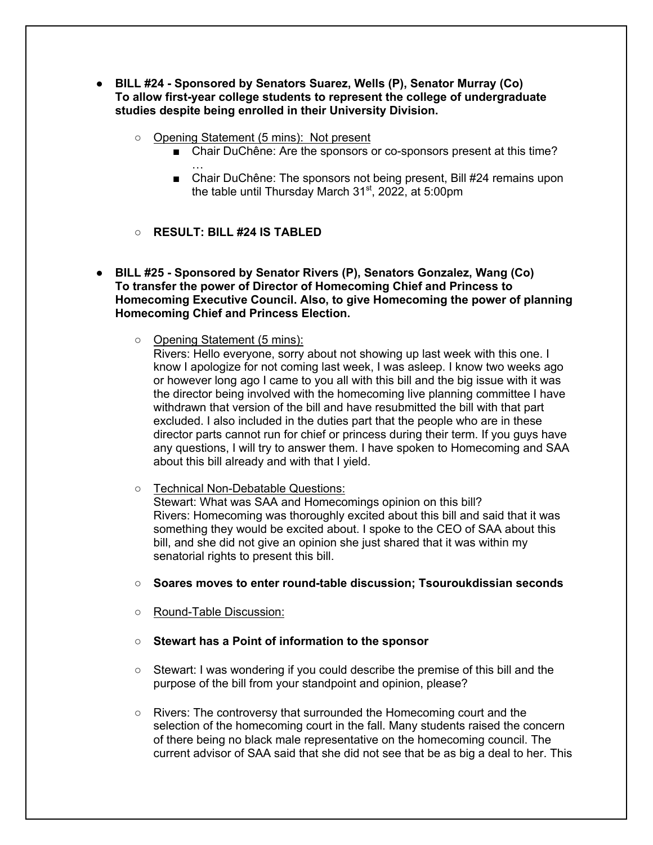- **BILL #24 - Sponsored by Senators Suarez, Wells (P), Senator Murray (Co) To allow first-year college students to represent the college of undergraduate studies despite being enrolled in their University Division.**
	- Opening Statement (5 mins): Not present
		- Chair DuChêne: Are the sponsors or co-sponsors present at this time?
		- … ■ Chair DuChêne: The sponsors not being present, Bill #24 remains upon the table until Thursday March 31<sup>st</sup>, 2022, at 5:00pm
	- **RESULT: BILL #24 IS TABLED**
- **BILL #25 - Sponsored by Senator Rivers (P), Senators Gonzalez, Wang (Co) To transfer the power of Director of Homecoming Chief and Princess to Homecoming Executive Council. Also, to give Homecoming the power of planning Homecoming Chief and Princess Election.**
	- Opening Statement (5 mins):

Rivers: Hello everyone, sorry about not showing up last week with this one. I know I apologize for not coming last week, I was asleep. I know two weeks ago or however long ago I came to you all with this bill and the big issue with it was the director being involved with the homecoming live planning committee I have withdrawn that version of the bill and have resubmitted the bill with that part excluded. I also included in the duties part that the people who are in these director parts cannot run for chief or princess during their term. If you guys have any questions, I will try to answer them. I have spoken to Homecoming and SAA about this bill already and with that I yield.

- Technical Non-Debatable Questions: Stewart: What was SAA and Homecomings opinion on this bill? Rivers: Homecoming was thoroughly excited about this bill and said that it was something they would be excited about. I spoke to the CEO of SAA about this bill, and she did not give an opinion she just shared that it was within my senatorial rights to present this bill.
- **Soares moves to enter round-table discussion; Tsouroukdissian seconds**
- Round-Table Discussion:
- **Stewart has a Point of information to the sponsor**
- Stewart: I was wondering if you could describe the premise of this bill and the purpose of the bill from your standpoint and opinion, please?
- Rivers: The controversy that surrounded the Homecoming court and the selection of the homecoming court in the fall. Many students raised the concern of there being no black male representative on the homecoming council. The current advisor of SAA said that she did not see that be as big a deal to her. This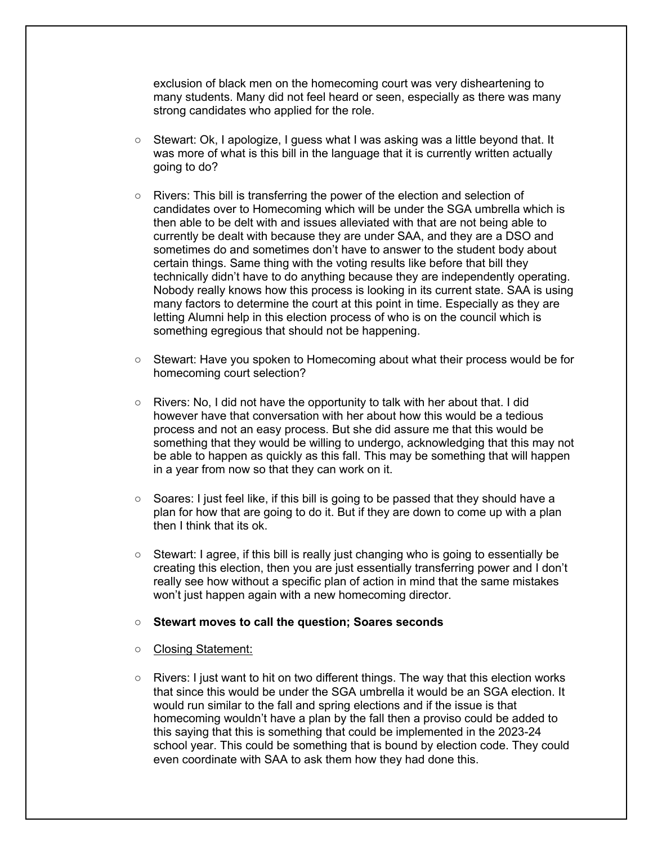exclusion of black men on the homecoming court was very disheartening to many students. Many did not feel heard or seen, especially as there was many strong candidates who applied for the role.

- Stewart: Ok, I apologize, I guess what I was asking was a little beyond that. It was more of what is this bill in the language that it is currently written actually going to do?
- Rivers: This bill is transferring the power of the election and selection of candidates over to Homecoming which will be under the SGA umbrella which is then able to be delt with and issues alleviated with that are not being able to currently be dealt with because they are under SAA, and they are a DSO and sometimes do and sometimes don't have to answer to the student body about certain things. Same thing with the voting results like before that bill they technically didn't have to do anything because they are independently operating. Nobody really knows how this process is looking in its current state. SAA is using many factors to determine the court at this point in time. Especially as they are letting Alumni help in this election process of who is on the council which is something egregious that should not be happening.
- Stewart: Have you spoken to Homecoming about what their process would be for homecoming court selection?
- $\circ$  Rivers: No. I did not have the opportunity to talk with her about that. I did however have that conversation with her about how this would be a tedious process and not an easy process. But she did assure me that this would be something that they would be willing to undergo, acknowledging that this may not be able to happen as quickly as this fall. This may be something that will happen in a year from now so that they can work on it.
- Soares: I just feel like, if this bill is going to be passed that they should have a plan for how that are going to do it. But if they are down to come up with a plan then I think that its ok.
- Stewart: I agree, if this bill is really just changing who is going to essentially be creating this election, then you are just essentially transferring power and I don't really see how without a specific plan of action in mind that the same mistakes won't just happen again with a new homecoming director.

#### ○ **Stewart moves to call the question; Soares seconds**

- Closing Statement:
- Rivers: I just want to hit on two different things. The way that this election works that since this would be under the SGA umbrella it would be an SGA election. It would run similar to the fall and spring elections and if the issue is that homecoming wouldn't have a plan by the fall then a proviso could be added to this saying that this is something that could be implemented in the 2023-24 school year. This could be something that is bound by election code. They could even coordinate with SAA to ask them how they had done this.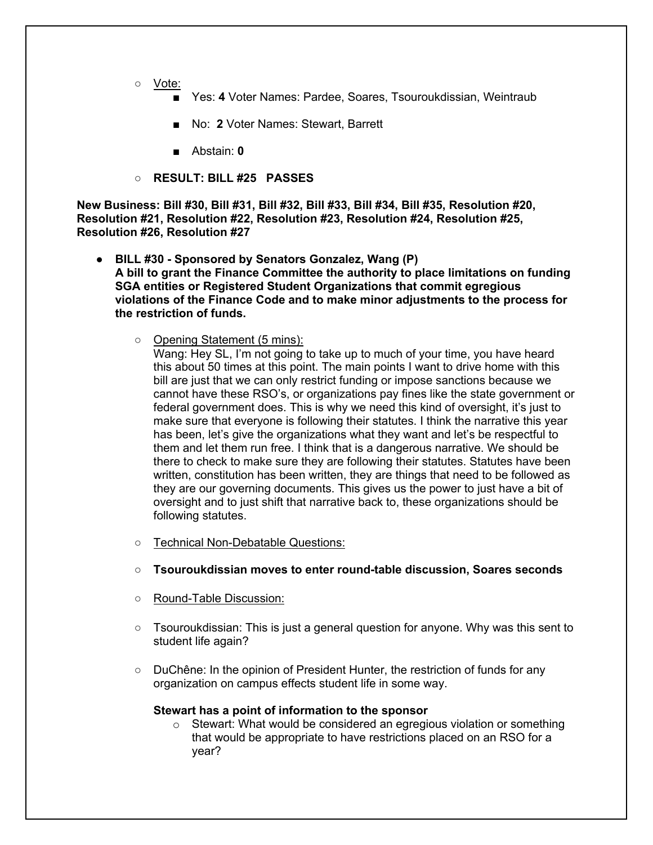- Vote:
	- Yes: 4 Voter Names: Pardee, Soares, Tsouroukdissian, Weintraub
	- No: 2 Voter Names: Stewart, Barrett
	- Abstain: **0**
- **RESULT: BILL #25 PASSES**

**New Business: Bill #30, Bill #31, Bill #32, Bill #33, Bill #34, Bill #35, Resolution #20, Resolution #21, Resolution #22, Resolution #23, Resolution #24, Resolution #25, Resolution #26, Resolution #27**

- **BILL #30 - Sponsored by Senators Gonzalez, Wang (P) A bill to grant the Finance Committee the authority to place limitations on funding SGA entities or Registered Student Organizations that commit egregious violations of the Finance Code and to make minor adjustments to the process for the restriction of funds.**
	- Opening Statement (5 mins):

Wang: Hey SL, I'm not going to take up to much of your time, you have heard this about 50 times at this point. The main points I want to drive home with this bill are just that we can only restrict funding or impose sanctions because we cannot have these RSO's, or organizations pay fines like the state government or federal government does. This is why we need this kind of oversight, it's just to make sure that everyone is following their statutes. I think the narrative this year has been, let's give the organizations what they want and let's be respectful to them and let them run free. I think that is a dangerous narrative. We should be there to check to make sure they are following their statutes. Statutes have been written, constitution has been written, they are things that need to be followed as they are our governing documents. This gives us the power to just have a bit of oversight and to just shift that narrative back to, these organizations should be following statutes.

- Technical Non-Debatable Questions:
- **Tsouroukdissian moves to enter round-table discussion, Soares seconds**
- Round-Table Discussion:
- $\circ$  Tsouroukdissian: This is just a general question for anyone. Why was this sent to student life again?
- DuChêne: In the opinion of President Hunter, the restriction of funds for any organization on campus effects student life in some way.

# **Stewart has a point of information to the sponsor**

o Stewart: What would be considered an egregious violation or something that would be appropriate to have restrictions placed on an RSO for a year?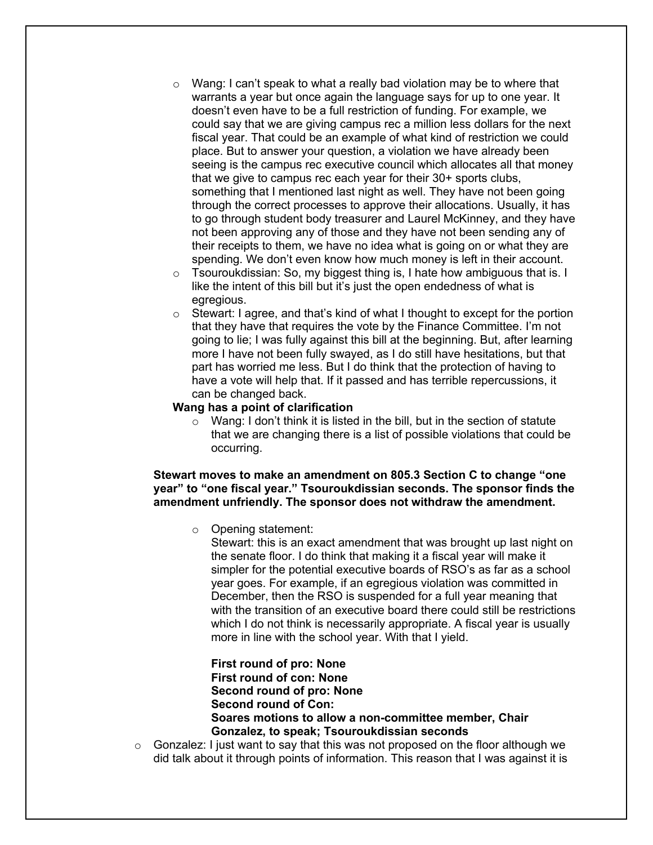- $\circ$  Wang: I can't speak to what a really bad violation may be to where that warrants a year but once again the language says for up to one year. It doesn't even have to be a full restriction of funding. For example, we could say that we are giving campus rec a million less dollars for the next fiscal year. That could be an example of what kind of restriction we could place. But to answer your question, a violation we have already been seeing is the campus rec executive council which allocates all that money that we give to campus rec each year for their 30+ sports clubs, something that I mentioned last night as well. They have not been going through the correct processes to approve their allocations. Usually, it has to go through student body treasurer and Laurel McKinney, and they have not been approving any of those and they have not been sending any of their receipts to them, we have no idea what is going on or what they are spending. We don't even know how much money is left in their account.
- o Tsouroukdissian: So, my biggest thing is, I hate how ambiguous that is. I like the intent of this bill but it's just the open endedness of what is egregious.
- $\circ$  Stewart: I agree, and that's kind of what I thought to except for the portion that they have that requires the vote by the Finance Committee. I'm not going to lie; I was fully against this bill at the beginning. But, after learning more I have not been fully swayed, as I do still have hesitations, but that part has worried me less. But I do think that the protection of having to have a vote will help that. If it passed and has terrible repercussions, it can be changed back.

### **Wang has a point of clarification**

o Wang: I don't think it is listed in the bill, but in the section of statute that we are changing there is a list of possible violations that could be occurring.

# **Stewart moves to make an amendment on 805.3 Section C to change "one year" to "one fiscal year." Tsouroukdissian seconds. The sponsor finds the amendment unfriendly. The sponsor does not withdraw the amendment.**

o Opening statement:

Stewart: this is an exact amendment that was brought up last night on the senate floor. I do think that making it a fiscal year will make it simpler for the potential executive boards of RSO's as far as a school year goes. For example, if an egregious violation was committed in December, then the RSO is suspended for a full year meaning that with the transition of an executive board there could still be restrictions which I do not think is necessarily appropriate. A fiscal year is usually more in line with the school year. With that I yield.

# **First round of pro: None First round of con: None Second round of pro: None Second round of Con: Soares motions to allow a non-committee member, Chair Gonzalez, to speak; Tsouroukdissian seconds**

 $\circ$  Gonzalez: I just want to say that this was not proposed on the floor although we did talk about it through points of information. This reason that I was against it is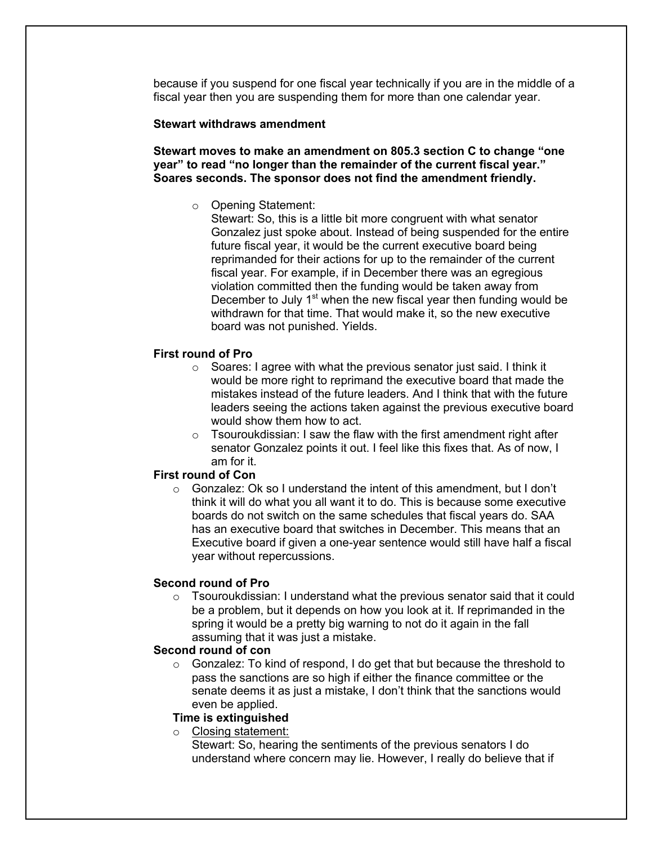because if you suspend for one fiscal year technically if you are in the middle of a fiscal year then you are suspending them for more than one calendar year.

#### **Stewart withdraws amendment**

**Stewart moves to make an amendment on 805.3 section C to change "one year" to read "no longer than the remainder of the current fiscal year." Soares seconds. The sponsor does not find the amendment friendly.** 

o Opening Statement:

Stewart: So, this is a little bit more congruent with what senator Gonzalez just spoke about. Instead of being suspended for the entire future fiscal year, it would be the current executive board being reprimanded for their actions for up to the remainder of the current fiscal year. For example, if in December there was an egregious violation committed then the funding would be taken away from December to July  $1<sup>st</sup>$  when the new fiscal year then funding would be withdrawn for that time. That would make it, so the new executive board was not punished. Yields.

# **First round of Pro**

- o Soares: I agree with what the previous senator just said. I think it would be more right to reprimand the executive board that made the mistakes instead of the future leaders. And I think that with the future leaders seeing the actions taken against the previous executive board would show them how to act.
- $\circ$  Tsouroukdissian: I saw the flaw with the first amendment right after senator Gonzalez points it out. I feel like this fixes that. As of now, I am for it.

# **First round of Con**

 $\circ$  Gonzalez: Ok so I understand the intent of this amendment, but I don't think it will do what you all want it to do. This is because some executive boards do not switch on the same schedules that fiscal years do. SAA has an executive board that switches in December. This means that an Executive board if given a one-year sentence would still have half a fiscal year without repercussions.

### **Second round of Pro**

 $\circ$  Tsouroukdissian: I understand what the previous senator said that it could be a problem, but it depends on how you look at it. If reprimanded in the spring it would be a pretty big warning to not do it again in the fall assuming that it was just a mistake.

### **Second round of con**

o Gonzalez: To kind of respond, I do get that but because the threshold to pass the sanctions are so high if either the finance committee or the senate deems it as just a mistake, I don't think that the sanctions would even be applied.

### **Time is extinguished**

o Closing statement:

Stewart: So, hearing the sentiments of the previous senators I do understand where concern may lie. However, I really do believe that if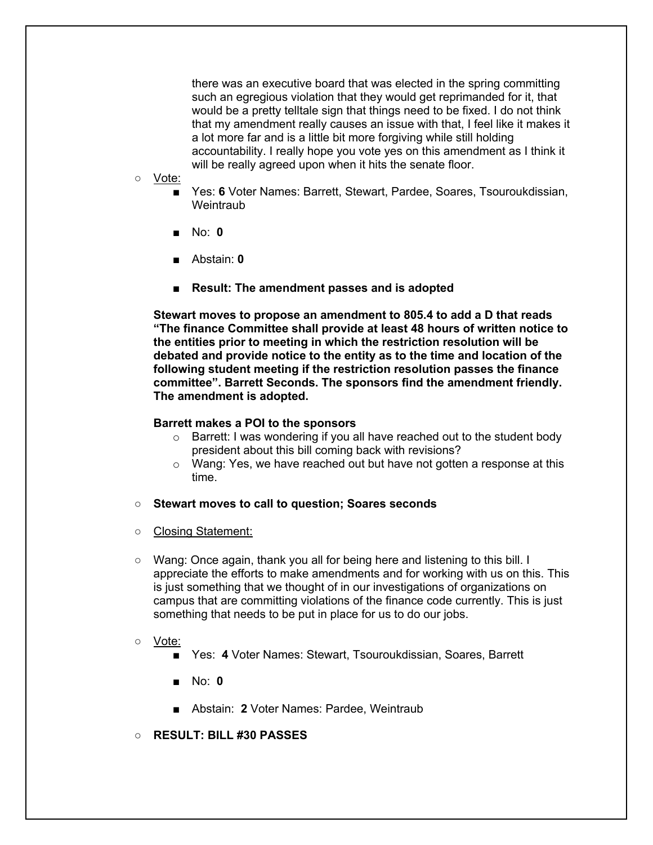there was an executive board that was elected in the spring committing such an egregious violation that they would get reprimanded for it, that would be a pretty telltale sign that things need to be fixed. I do not think that my amendment really causes an issue with that, I feel like it makes it a lot more far and is a little bit more forgiving while still holding accountability. I really hope you vote yes on this amendment as I think it will be really agreed upon when it hits the senate floor.

- Vote:
	- Yes: 6 Voter Names: Barrett, Stewart, Pardee, Soares, Tsouroukdissian, **Weintraub**
	- No: **0**
	- Abstain: **0**
	- **Result: The amendment passes and is adopted**

**Stewart moves to propose an amendment to 805.4 to add a D that reads "The finance Committee shall provide at least 48 hours of written notice to the entities prior to meeting in which the restriction resolution will be debated and provide notice to the entity as to the time and location of the following student meeting if the restriction resolution passes the finance committee". Barrett Seconds. The sponsors find the amendment friendly. The amendment is adopted.**

#### **Barrett makes a POI to the sponsors**

- $\circ$  Barrett: I was wondering if you all have reached out to the student body president about this bill coming back with revisions?
- o Wang: Yes, we have reached out but have not gotten a response at this time.
- **Stewart moves to call to question; Soares seconds**
- Closing Statement:
- Wang: Once again, thank you all for being here and listening to this bill. I appreciate the efforts to make amendments and for working with us on this. This is just something that we thought of in our investigations of organizations on campus that are committing violations of the finance code currently. This is just something that needs to be put in place for us to do our jobs.
- Vote:
	- Yes: 4 Voter Names: Stewart, Tsouroukdissian, Soares, Barrett
	- No: **0**
	- Abstain: 2 Voter Names: Pardee, Weintraub
- **RESULT: BILL #30 PASSES**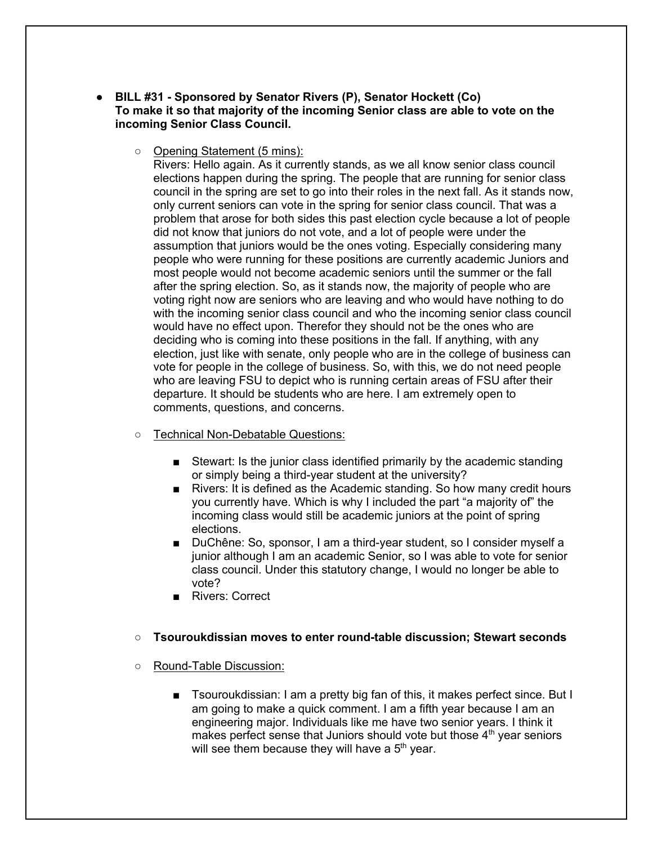- **BILL #31 - Sponsored by Senator Rivers (P), Senator Hockett (Co) To make it so that majority of the incoming Senior class are able to vote on the incoming Senior Class Council.**
	- Opening Statement (5 mins):

Rivers: Hello again. As it currently stands, as we all know senior class council elections happen during the spring. The people that are running for senior class council in the spring are set to go into their roles in the next fall. As it stands now, only current seniors can vote in the spring for senior class council. That was a problem that arose for both sides this past election cycle because a lot of people did not know that juniors do not vote, and a lot of people were under the assumption that juniors would be the ones voting. Especially considering many people who were running for these positions are currently academic Juniors and most people would not become academic seniors until the summer or the fall after the spring election. So, as it stands now, the majority of people who are voting right now are seniors who are leaving and who would have nothing to do with the incoming senior class council and who the incoming senior class council would have no effect upon. Therefor they should not be the ones who are deciding who is coming into these positions in the fall. If anything, with any election, just like with senate, only people who are in the college of business can vote for people in the college of business. So, with this, we do not need people who are leaving FSU to depict who is running certain areas of FSU after their departure. It should be students who are here. I am extremely open to comments, questions, and concerns.

- Technical Non-Debatable Questions:
	- Stewart: Is the junior class identified primarily by the academic standing or simply being a third-year student at the university?
	- Rivers: It is defined as the Academic standing. So how many credit hours you currently have. Which is why I included the part "a majority of" the incoming class would still be academic juniors at the point of spring elections.
	- DuChêne: So, sponsor, I am a third-year student, so I consider myself a junior although I am an academic Senior, so I was able to vote for senior class council. Under this statutory change, I would no longer be able to vote?
	- Rivers: Correct

# ○ **Tsouroukdissian moves to enter round-table discussion; Stewart seconds**

- Round-Table Discussion:
	- Tsouroukdissian: I am a pretty big fan of this, it makes perfect since. But I am going to make a quick comment. I am a fifth year because I am an engineering major. Individuals like me have two senior years. I think it makes perfect sense that Juniors should vote but those  $4<sup>th</sup>$  year seniors will see them because they will have a  $5<sup>th</sup>$  year.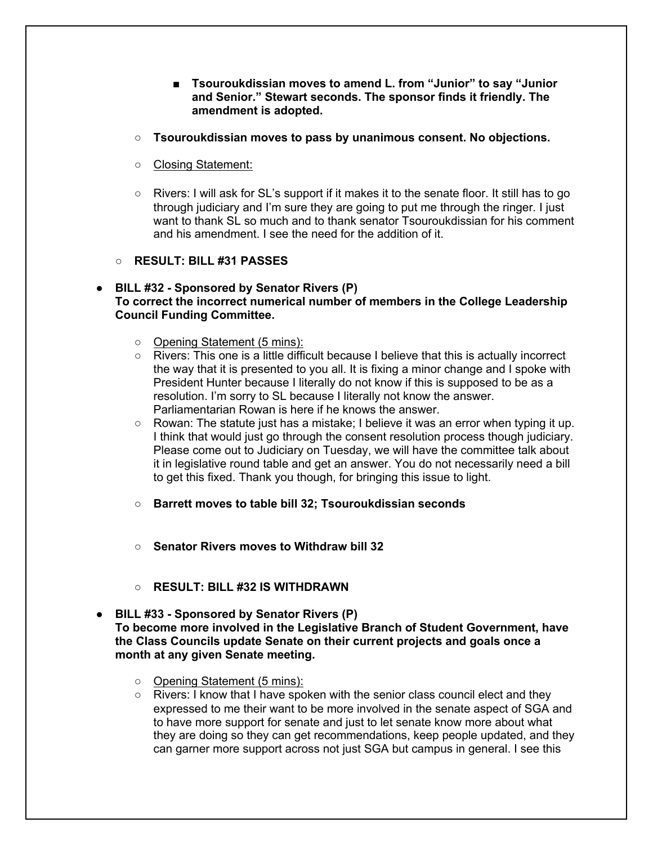- **Tsouroukdissian moves to amend L. from "Junior" to say "Junior and Senior." Stewart seconds. The sponsor finds it friendly. The amendment is adopted.**
- **Tsouroukdissian moves to pass by unanimous consent. No objections.**
- Closing Statement:
- Rivers: I will ask for SL's support if it makes it to the senate floor. It still has to go through judiciary and I'm sure they are going to put me through the ringer. I just want to thank SL so much and to thank senator Tsouroukdissian for his comment and his amendment. I see the need for the addition of it.
- **RESULT: BILL #31 PASSES**
- **BILL #32 - Sponsored by Senator Rivers (P) To correct the incorrect numerical number of members in the College Leadership Council Funding Committee.**
	- Opening Statement (5 mins):
	- Rivers: This one is a little difficult because I believe that this is actually incorrect the way that it is presented to you all. It is fixing a minor change and I spoke with President Hunter because I literally do not know if this is supposed to be as a resolution. I'm sorry to SL because I literally not know the answer. Parliamentarian Rowan is here if he knows the answer.
	- $\circ$  Rowan: The statute just has a mistake; I believe it was an error when typing it up. I think that would just go through the consent resolution process though judiciary. Please come out to Judiciary on Tuesday, we will have the committee talk about it in legislative round table and get an answer. You do not necessarily need a bill to get this fixed. Thank you though, for bringing this issue to light.
	- **Barrett moves to table bill 32; Tsouroukdissian seconds**
	- **Senator Rivers moves to Withdraw bill 32**
	- **RESULT: BILL #32 IS WITHDRAWN**
- **BILL #33 - Sponsored by Senator Rivers (P) To become more involved in the Legislative Branch of Student Government, have the Class Councils update Senate on their current projects and goals once a month at any given Senate meeting.**
	- Opening Statement (5 mins):
	- Rivers: I know that I have spoken with the senior class council elect and they expressed to me their want to be more involved in the senate aspect of SGA and to have more support for senate and just to let senate know more about what they are doing so they can get recommendations, keep people updated, and they can garner more support across not just SGA but campus in general. I see this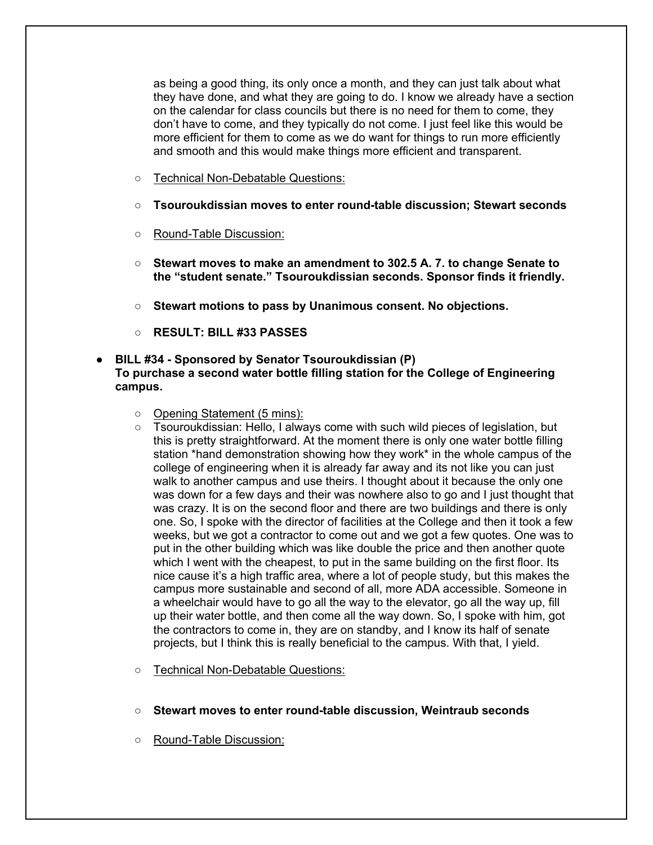as being a good thing, its only once a month, and they can just talk about what they have done, and what they are going to do. I know we already have a section on the calendar for class councils but there is no need for them to come, they don't have to come, and they typically do not come. I just feel like this would be more efficient for them to come as we do want for things to run more efficiently and smooth and this would make things more efficient and transparent.

- Technical Non-Debatable Questions:
- **Tsouroukdissian moves to enter round-table discussion; Stewart seconds**
- Round-Table Discussion:
- **Stewart moves to make an amendment to 302.5 A. 7. to change Senate to the "student senate." Tsouroukdissian seconds. Sponsor finds it friendly.**
- **Stewart motions to pass by Unanimous consent. No objections.**
- **RESULT: BILL #33 PASSES**
- **BILL #34 - Sponsored by Senator Tsouroukdissian (P) To purchase a second water bottle filling station for the College of Engineering campus.**
	- Opening Statement (5 mins):
	- Tsouroukdissian: Hello, I always come with such wild pieces of legislation, but this is pretty straightforward. At the moment there is only one water bottle filling station \*hand demonstration showing how they work\* in the whole campus of the college of engineering when it is already far away and its not like you can just walk to another campus and use theirs. I thought about it because the only one was down for a few days and their was nowhere also to go and I just thought that was crazy. It is on the second floor and there are two buildings and there is only one. So, I spoke with the director of facilities at the College and then it took a few weeks, but we got a contractor to come out and we got a few quotes. One was to put in the other building which was like double the price and then another quote which I went with the cheapest, to put in the same building on the first floor. Its nice cause it's a high traffic area, where a lot of people study, but this makes the campus more sustainable and second of all, more ADA accessible. Someone in a wheelchair would have to go all the way to the elevator, go all the way up, fill up their water bottle, and then come all the way down. So, I spoke with him, got the contractors to come in, they are on standby, and I know its half of senate projects, but I think this is really beneficial to the campus. With that, I yield.
	- Technical Non-Debatable Questions:
	- **Stewart moves to enter round-table discussion, Weintraub seconds**
	- Round-Table Discussion: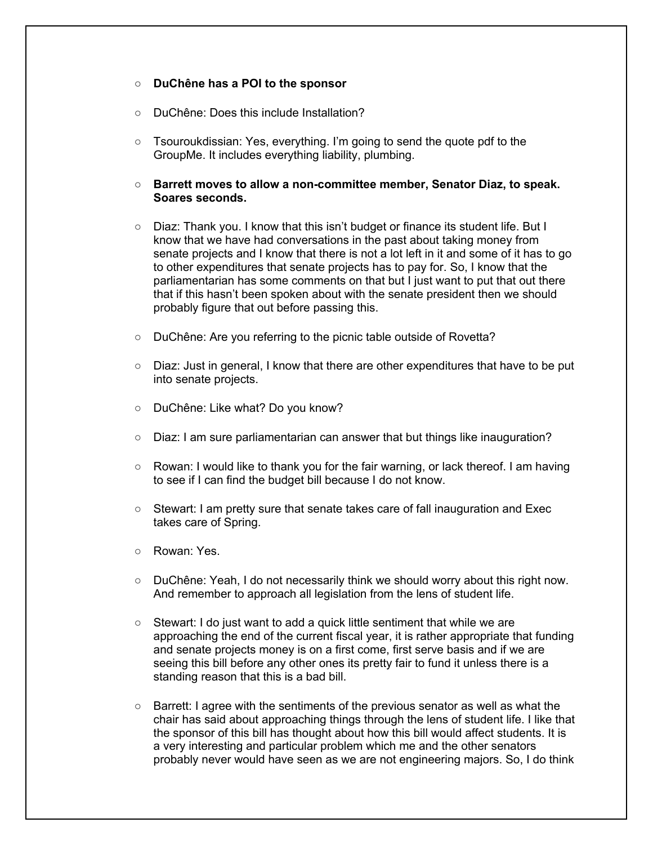### ○ **DuChêne has a POI to the sponsor**

- DuChêne: Does this include Installation?
- Tsouroukdissian: Yes, everything. I'm going to send the quote pdf to the GroupMe. It includes everything liability, plumbing.
- **Barrett moves to allow a non-committee member, Senator Diaz, to speak. Soares seconds.**
- Diaz: Thank you. I know that this isn't budget or finance its student life. But I know that we have had conversations in the past about taking money from senate projects and I know that there is not a lot left in it and some of it has to go to other expenditures that senate projects has to pay for. So, I know that the parliamentarian has some comments on that but I just want to put that out there that if this hasn't been spoken about with the senate president then we should probably figure that out before passing this.
- DuChêne: Are you referring to the picnic table outside of Rovetta?
- Diaz: Just in general, I know that there are other expenditures that have to be put into senate projects.
- DuChêne: Like what? Do you know?
- Diaz: I am sure parliamentarian can answer that but things like inauguration?
- Rowan: I would like to thank you for the fair warning, or lack thereof. I am having to see if I can find the budget bill because I do not know.
- Stewart: I am pretty sure that senate takes care of fall inauguration and Exec takes care of Spring.
- o Rowan: Yes.
- DuChêne: Yeah, I do not necessarily think we should worry about this right now. And remember to approach all legislation from the lens of student life.
- Stewart: I do just want to add a quick little sentiment that while we are approaching the end of the current fiscal year, it is rather appropriate that funding and senate projects money is on a first come, first serve basis and if we are seeing this bill before any other ones its pretty fair to fund it unless there is a standing reason that this is a bad bill.
- $\circ$  Barrett: I agree with the sentiments of the previous senator as well as what the chair has said about approaching things through the lens of student life. I like that the sponsor of this bill has thought about how this bill would affect students. It is a very interesting and particular problem which me and the other senators probably never would have seen as we are not engineering majors. So, I do think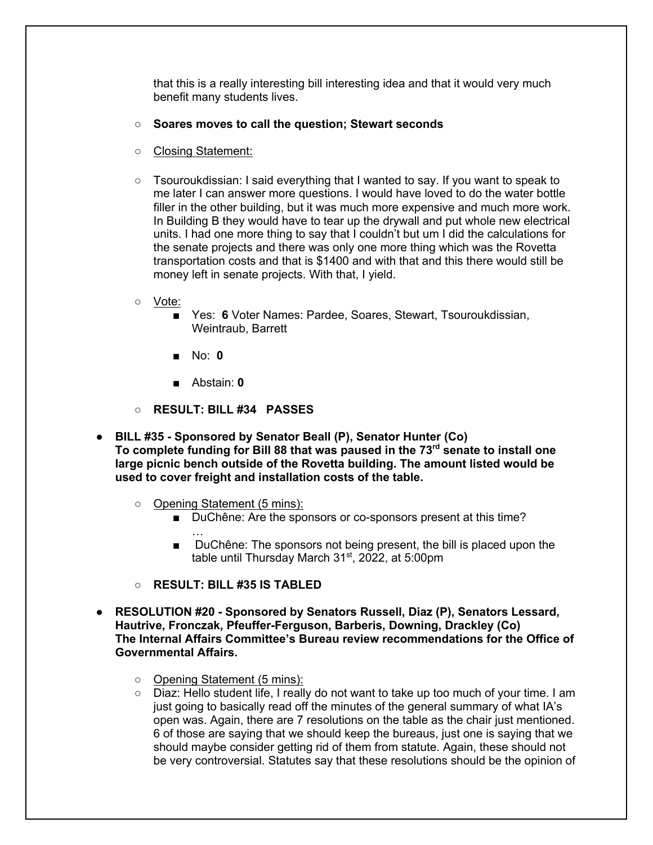that this is a really interesting bill interesting idea and that it would very much benefit many students lives.

- **Soares moves to call the question; Stewart seconds**
- Closing Statement:
- Tsouroukdissian: I said everything that I wanted to say. If you want to speak to me later I can answer more questions. I would have loved to do the water bottle filler in the other building, but it was much more expensive and much more work. In Building B they would have to tear up the drywall and put whole new electrical units. I had one more thing to say that I couldn't but um I did the calculations for the senate projects and there was only one more thing which was the Rovetta transportation costs and that is \$1400 and with that and this there would still be money left in senate projects. With that, I yield.
- Vote:
	- Yes: 6 Voter Names: Pardee, Soares, Stewart, Tsouroukdissian, Weintraub, Barrett
	- No: **0**
	- Abstain: **0**
- **RESULT: BILL #34 PASSES**
- **BILL #35 - Sponsored by Senator Beall (P), Senator Hunter (Co) To complete funding for Bill 88 that was paused in the 73rd senate to install one large picnic bench outside of the Rovetta building. The amount listed would be used to cover freight and installation costs of the table.** 
	- Opening Statement (5 mins):
		- DuChêne: Are the sponsors or co-sponsors present at this time? …
		- DuChêne: The sponsors not being present, the bill is placed upon the table until Thursday March 31<sup>st</sup>, 2022, at 5:00pm
	- **RESULT: BILL #35 IS TABLED**
- **RESOLUTION #20 - Sponsored by Senators Russell, Diaz (P), Senators Lessard, Hautrive, Fronczak, Pfeuffer-Ferguson, Barberis, Downing, Drackley (Co) The Internal Affairs Committee's Bureau review recommendations for the Office of Governmental Affairs.**
	- Opening Statement (5 mins):
	- Diaz: Hello student life, I really do not want to take up too much of your time. I am just going to basically read off the minutes of the general summary of what IA's open was. Again, there are 7 resolutions on the table as the chair just mentioned. 6 of those are saying that we should keep the bureaus, just one is saying that we should maybe consider getting rid of them from statute. Again, these should not be very controversial. Statutes say that these resolutions should be the opinion of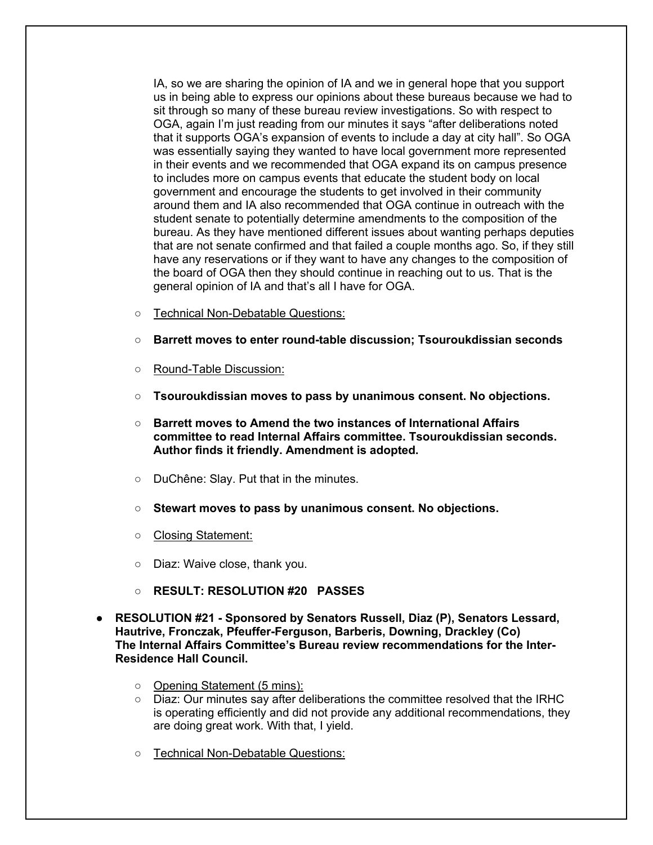IA, so we are sharing the opinion of IA and we in general hope that you support us in being able to express our opinions about these bureaus because we had to sit through so many of these bureau review investigations. So with respect to OGA, again I'm just reading from our minutes it says "after deliberations noted that it supports OGA's expansion of events to include a day at city hall". So OGA was essentially saying they wanted to have local government more represented in their events and we recommended that OGA expand its on campus presence to includes more on campus events that educate the student body on local government and encourage the students to get involved in their community around them and IA also recommended that OGA continue in outreach with the student senate to potentially determine amendments to the composition of the bureau. As they have mentioned different issues about wanting perhaps deputies that are not senate confirmed and that failed a couple months ago. So, if they still have any reservations or if they want to have any changes to the composition of the board of OGA then they should continue in reaching out to us. That is the general opinion of IA and that's all I have for OGA.

- Technical Non-Debatable Questions:
- **Barrett moves to enter round-table discussion; Tsouroukdissian seconds**
- Round-Table Discussion:
- **Tsouroukdissian moves to pass by unanimous consent. No objections.**
- **Barrett moves to Amend the two instances of International Affairs committee to read Internal Affairs committee. Tsouroukdissian seconds. Author finds it friendly. Amendment is adopted.**
- DuChêne: Slay. Put that in the minutes.
- **Stewart moves to pass by unanimous consent. No objections.**
- Closing Statement:
- Diaz: Waive close, thank you.
- **RESULT: RESOLUTION #20 PASSES**
- **RESOLUTION #21 - Sponsored by Senators Russell, Diaz (P), Senators Lessard, Hautrive, Fronczak, Pfeuffer-Ferguson, Barberis, Downing, Drackley (Co) The Internal Affairs Committee's Bureau review recommendations for the Inter-Residence Hall Council.**
	- Opening Statement (5 mins):
	- Diaz: Our minutes say after deliberations the committee resolved that the IRHC is operating efficiently and did not provide any additional recommendations, they are doing great work. With that, I yield.
	- Technical Non-Debatable Questions: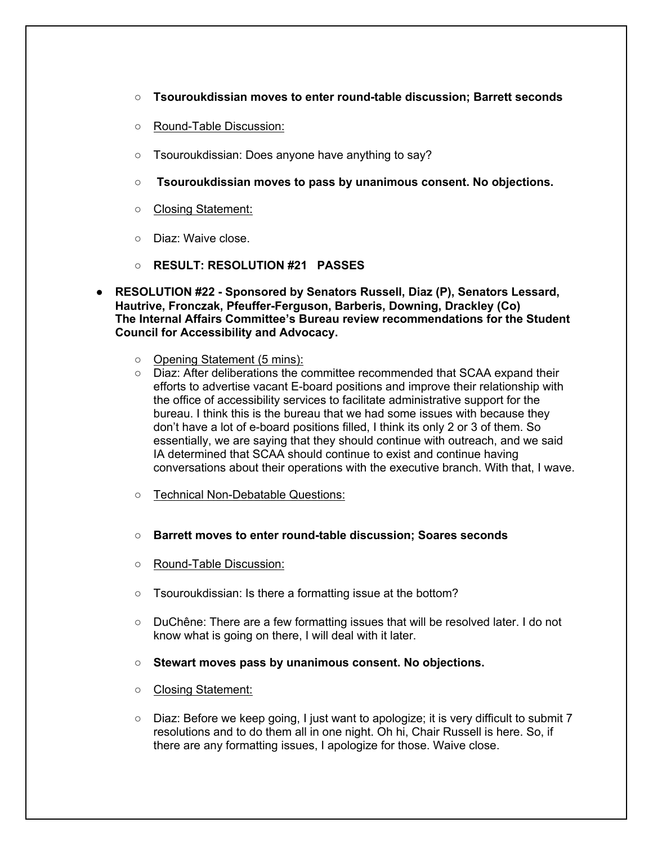- **Tsouroukdissian moves to enter round-table discussion; Barrett seconds**
- Round-Table Discussion:
- Tsouroukdissian: Does anyone have anything to say?
- **Tsouroukdissian moves to pass by unanimous consent. No objections.**
- Closing Statement:
- Diaz: Waive close.
- **RESULT: RESOLUTION #21 PASSES**
- **RESOLUTION #22 - Sponsored by Senators Russell, Diaz (P), Senators Lessard, Hautrive, Fronczak, Pfeuffer-Ferguson, Barberis, Downing, Drackley (Co) The Internal Affairs Committee's Bureau review recommendations for the Student Council for Accessibility and Advocacy.**
	- Opening Statement (5 mins):
	- Diaz: After deliberations the committee recommended that SCAA expand their efforts to advertise vacant E-board positions and improve their relationship with the office of accessibility services to facilitate administrative support for the bureau. I think this is the bureau that we had some issues with because they don't have a lot of e-board positions filled, I think its only 2 or 3 of them. So essentially, we are saying that they should continue with outreach, and we said IA determined that SCAA should continue to exist and continue having conversations about their operations with the executive branch. With that, I wave.
	- Technical Non-Debatable Questions:
	- **Barrett moves to enter round-table discussion; Soares seconds**
	- Round-Table Discussion:
	- Tsouroukdissian: Is there a formatting issue at the bottom?
	- DuChêne: There are a few formatting issues that will be resolved later. I do not know what is going on there, I will deal with it later.
	- **Stewart moves pass by unanimous consent. No objections.**
	- Closing Statement:
	- $\circ$  Diaz: Before we keep going, I just want to apologize; it is very difficult to submit 7 resolutions and to do them all in one night. Oh hi, Chair Russell is here. So, if there are any formatting issues, I apologize for those. Waive close.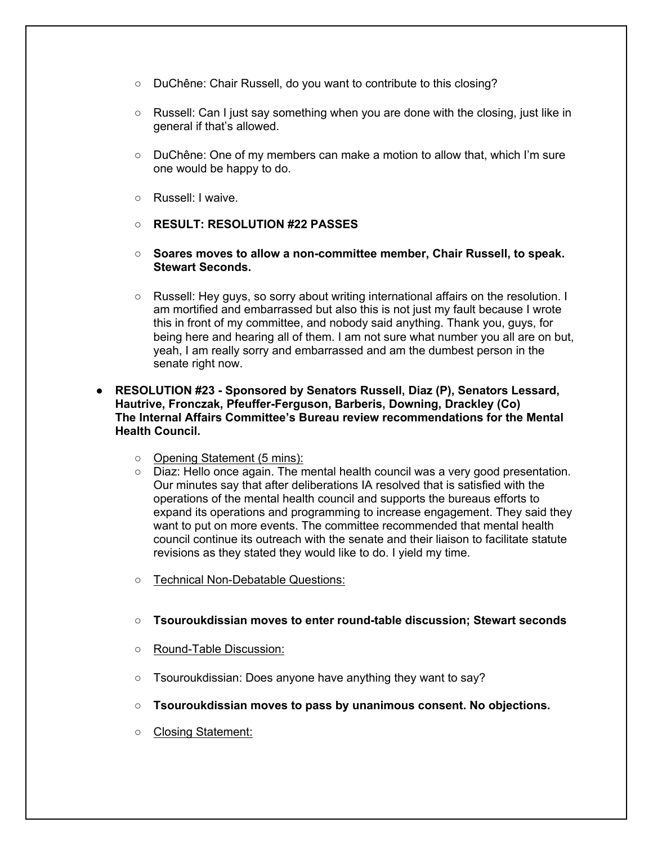- DuChêne: Chair Russell, do you want to contribute to this closing?
- Russell: Can I just say something when you are done with the closing, just like in general if that's allowed.
- DuChêne: One of my members can make a motion to allow that, which I'm sure one would be happy to do.
- Russell: I waive.
- **RESULT: RESOLUTION #22 PASSES**
- **Soares moves to allow a non-committee member, Chair Russell, to speak. Stewart Seconds.**
- Russell: Hey guys, so sorry about writing international affairs on the resolution. I am mortified and embarrassed but also this is not just my fault because I wrote this in front of my committee, and nobody said anything. Thank you, guys, for being here and hearing all of them. I am not sure what number you all are on but, yeah, I am really sorry and embarrassed and am the dumbest person in the senate right now.
- **RESOLUTION #23 - Sponsored by Senators Russell, Diaz (P), Senators Lessard, Hautrive, Fronczak, Pfeuffer-Ferguson, Barberis, Downing, Drackley (Co) The Internal Affairs Committee's Bureau review recommendations for the Mental Health Council.**
	- Opening Statement (5 mins):
	- Diaz: Hello once again. The mental health council was a very good presentation. Our minutes say that after deliberations IA resolved that is satisfied with the operations of the mental health council and supports the bureaus efforts to expand its operations and programming to increase engagement. They said they want to put on more events. The committee recommended that mental health council continue its outreach with the senate and their liaison to facilitate statute revisions as they stated they would like to do. I yield my time.
	- Technical Non-Debatable Questions:
	- **Tsouroukdissian moves to enter round-table discussion; Stewart seconds**
	- Round-Table Discussion:
	- Tsouroukdissian: Does anyone have anything they want to say?
	- **Tsouroukdissian moves to pass by unanimous consent. No objections.**
	- Closing Statement: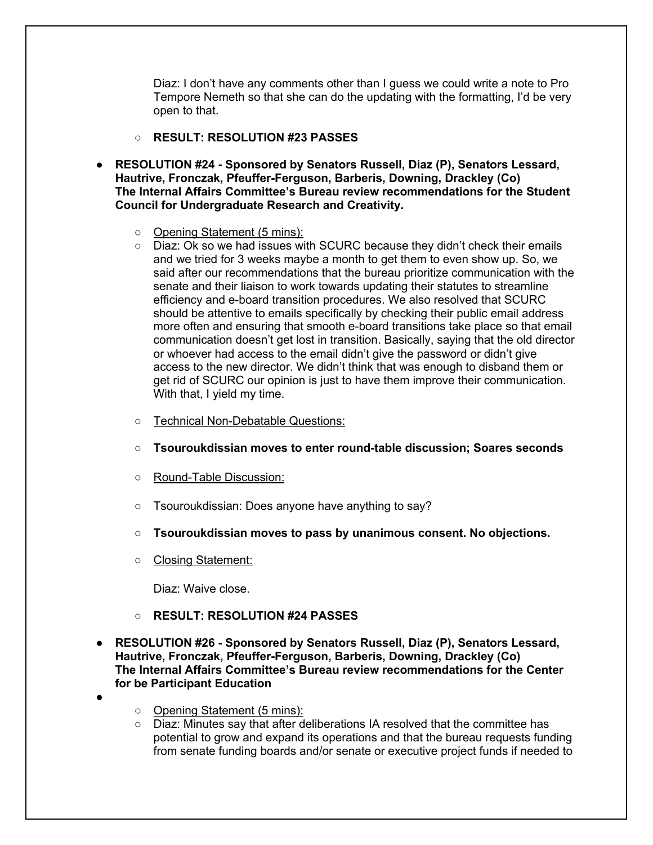Diaz: I don't have any comments other than I guess we could write a note to Pro Tempore Nemeth so that she can do the updating with the formatting, I'd be very open to that.

- **RESULT: RESOLUTION #23 PASSES**
- **RESOLUTION #24 - Sponsored by Senators Russell, Diaz (P), Senators Lessard, Hautrive, Fronczak, Pfeuffer-Ferguson, Barberis, Downing, Drackley (Co) The Internal Affairs Committee's Bureau review recommendations for the Student Council for Undergraduate Research and Creativity.**
	- Opening Statement (5 mins):
	- Diaz: Ok so we had issues with SCURC because they didn't check their emails and we tried for 3 weeks maybe a month to get them to even show up. So, we said after our recommendations that the bureau prioritize communication with the senate and their liaison to work towards updating their statutes to streamline efficiency and e-board transition procedures. We also resolved that SCURC should be attentive to emails specifically by checking their public email address more often and ensuring that smooth e-board transitions take place so that email communication doesn't get lost in transition. Basically, saying that the old director or whoever had access to the email didn't give the password or didn't give access to the new director. We didn't think that was enough to disband them or get rid of SCURC our opinion is just to have them improve their communication. With that, I yield my time.
	- Technical Non-Debatable Questions:
	- **Tsouroukdissian moves to enter round-table discussion; Soares seconds**
	- Round-Table Discussion:
	- Tsouroukdissian: Does anyone have anything to say?
	- **Tsouroukdissian moves to pass by unanimous consent. No objections.**
	- Closing Statement:

Diaz: Waive close.

- **RESULT: RESOLUTION #24 PASSES**
- **RESOLUTION #26 - Sponsored by Senators Russell, Diaz (P), Senators Lessard, Hautrive, Fronczak, Pfeuffer-Ferguson, Barberis, Downing, Drackley (Co) The Internal Affairs Committee's Bureau review recommendations for the Center for be Participant Education**
- ●
- Opening Statement (5 mins):
- Diaz: Minutes say that after deliberations IA resolved that the committee has potential to grow and expand its operations and that the bureau requests funding from senate funding boards and/or senate or executive project funds if needed to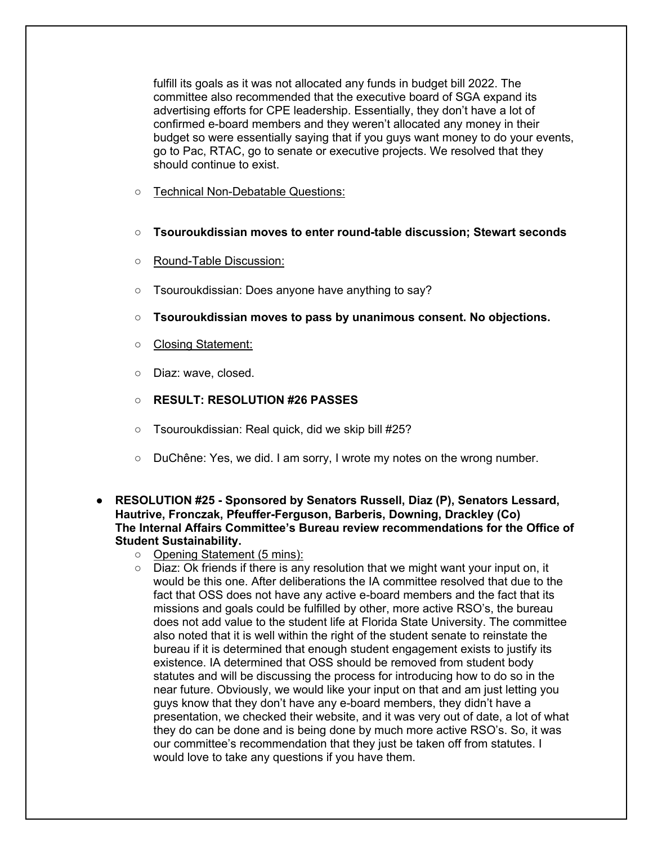fulfill its goals as it was not allocated any funds in budget bill 2022. The committee also recommended that the executive board of SGA expand its advertising efforts for CPE leadership. Essentially, they don't have a lot of confirmed e-board members and they weren't allocated any money in their budget so were essentially saying that if you guys want money to do your events, go to Pac, RTAC, go to senate or executive projects. We resolved that they should continue to exist.

- Technical Non-Debatable Questions:
- **Tsouroukdissian moves to enter round-table discussion; Stewart seconds**
- Round-Table Discussion:
- Tsouroukdissian: Does anyone have anything to say?
- **Tsouroukdissian moves to pass by unanimous consent. No objections.**
- Closing Statement:
- Diaz: wave, closed.
- **RESULT: RESOLUTION #26 PASSES**
- Tsouroukdissian: Real quick, did we skip bill #25?
- DuChêne: Yes, we did. I am sorry, I wrote my notes on the wrong number.
- **RESOLUTION #25 - Sponsored by Senators Russell, Diaz (P), Senators Lessard, Hautrive, Fronczak, Pfeuffer-Ferguson, Barberis, Downing, Drackley (Co) The Internal Affairs Committee's Bureau review recommendations for the Office of Student Sustainability.**
	- Opening Statement (5 mins):
	- Diaz: Ok friends if there is any resolution that we might want your input on, it would be this one. After deliberations the IA committee resolved that due to the fact that OSS does not have any active e-board members and the fact that its missions and goals could be fulfilled by other, more active RSO's, the bureau does not add value to the student life at Florida State University. The committee also noted that it is well within the right of the student senate to reinstate the bureau if it is determined that enough student engagement exists to justify its existence. IA determined that OSS should be removed from student body statutes and will be discussing the process for introducing how to do so in the near future. Obviously, we would like your input on that and am just letting you guys know that they don't have any e-board members, they didn't have a presentation, we checked their website, and it was very out of date, a lot of what they do can be done and is being done by much more active RSO's. So, it was our committee's recommendation that they just be taken off from statutes. I would love to take any questions if you have them.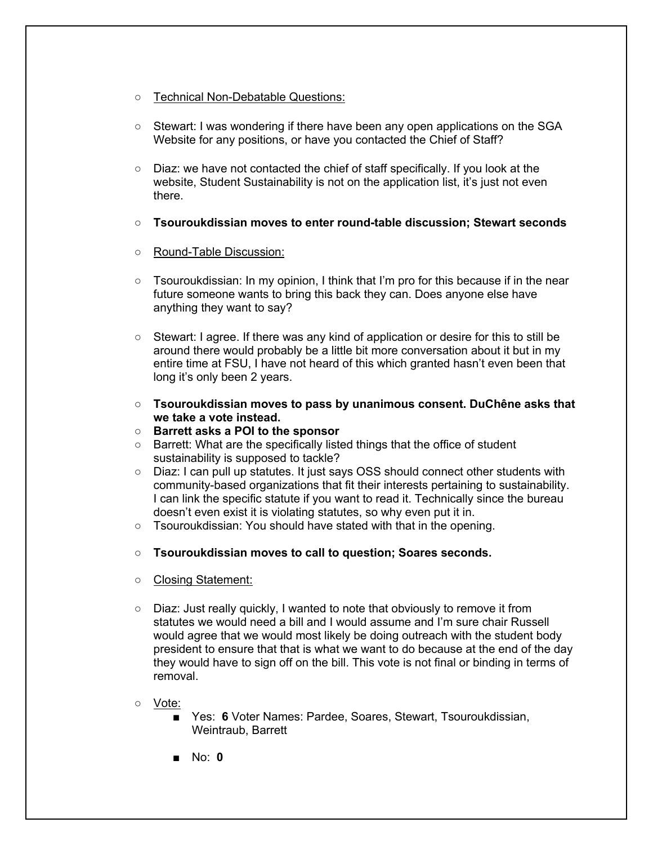- Technical Non-Debatable Questions:
- Stewart: I was wondering if there have been any open applications on the SGA Website for any positions, or have you contacted the Chief of Staff?
- Diaz: we have not contacted the chief of staff specifically. If you look at the website, Student Sustainability is not on the application list, it's just not even there.
- **Tsouroukdissian moves to enter round-table discussion; Stewart seconds**
- Round-Table Discussion:
- $\circ$  Tsouroukdissian: In my opinion, I think that I'm pro for this because if in the near future someone wants to bring this back they can. Does anyone else have anything they want to say?
- Stewart: I agree. If there was any kind of application or desire for this to still be around there would probably be a little bit more conversation about it but in my entire time at FSU, I have not heard of this which granted hasn't even been that long it's only been 2 years.
- **Tsouroukdissian moves to pass by unanimous consent. DuChêne asks that we take a vote instead.**
- **Barrett asks a POI to the sponsor**
- Barrett: What are the specifically listed things that the office of student sustainability is supposed to tackle?
- Diaz: I can pull up statutes. It just says OSS should connect other students with community-based organizations that fit their interests pertaining to sustainability. I can link the specific statute if you want to read it. Technically since the bureau doesn't even exist it is violating statutes, so why even put it in.
- Tsouroukdissian: You should have stated with that in the opening.
- **Tsouroukdissian moves to call to question; Soares seconds.**
- Closing Statement:
- Diaz: Just really quickly, I wanted to note that obviously to remove it from statutes we would need a bill and I would assume and I'm sure chair Russell would agree that we would most likely be doing outreach with the student body president to ensure that that is what we want to do because at the end of the day they would have to sign off on the bill. This vote is not final or binding in terms of removal.
- Vote:
	- Yes: 6 Voter Names: Pardee, Soares, Stewart, Tsouroukdissian, Weintraub, Barrett
	- No: **0**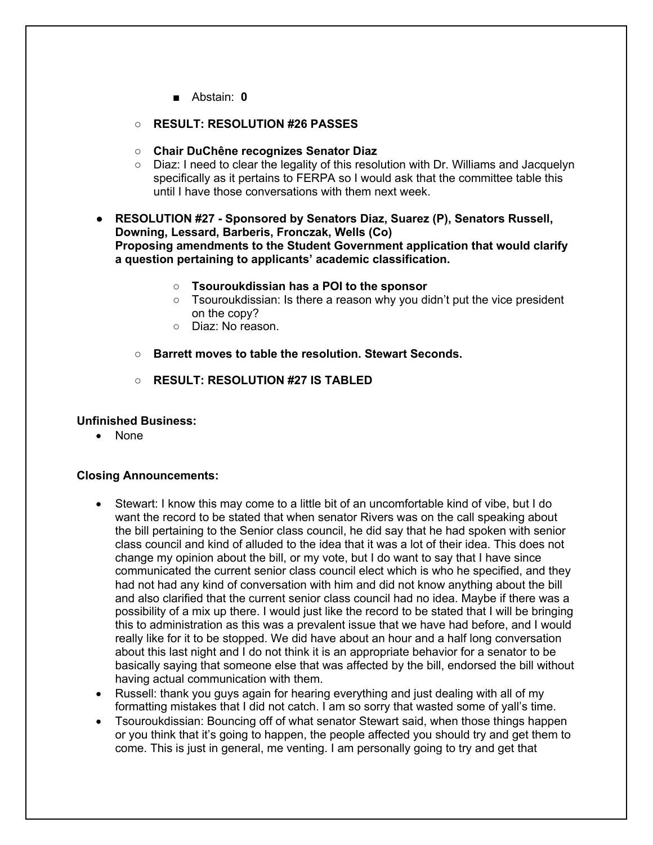- Abstain: **0**
- **RESULT: RESOLUTION #26 PASSES**
- **Chair DuChêne recognizes Senator Diaz**
- Diaz: I need to clear the legality of this resolution with Dr. Williams and Jacquelyn specifically as it pertains to FERPA so I would ask that the committee table this until I have those conversations with them next week.
- **RESOLUTION #27 - Sponsored by Senators Diaz, Suarez (P), Senators Russell, Downing, Lessard, Barberis, Fronczak, Wells (Co) Proposing amendments to the Student Government application that would clarify a question pertaining to applicants' academic classification.**
	- **Tsouroukdissian has a POI to the sponsor**
	- Tsouroukdissian: Is there a reason why you didn't put the vice president on the copy?
	- Diaz: No reason.
	- **Barrett moves to table the resolution. Stewart Seconds.**
	- **RESULT: RESOLUTION #27 IS TABLED**

# **Unfinished Business:**

• None

### **Closing Announcements:**

- Stewart: I know this may come to a little bit of an uncomfortable kind of vibe, but I do want the record to be stated that when senator Rivers was on the call speaking about the bill pertaining to the Senior class council, he did say that he had spoken with senior class council and kind of alluded to the idea that it was a lot of their idea. This does not change my opinion about the bill, or my vote, but I do want to say that I have since communicated the current senior class council elect which is who he specified, and they had not had any kind of conversation with him and did not know anything about the bill and also clarified that the current senior class council had no idea. Maybe if there was a possibility of a mix up there. I would just like the record to be stated that I will be bringing this to administration as this was a prevalent issue that we have had before, and I would really like for it to be stopped. We did have about an hour and a half long conversation about this last night and I do not think it is an appropriate behavior for a senator to be basically saying that someone else that was affected by the bill, endorsed the bill without having actual communication with them.
- Russell: thank you guys again for hearing everything and just dealing with all of my formatting mistakes that I did not catch. I am so sorry that wasted some of yall's time.
- Tsouroukdissian: Bouncing off of what senator Stewart said, when those things happen or you think that it's going to happen, the people affected you should try and get them to come. This is just in general, me venting. I am personally going to try and get that